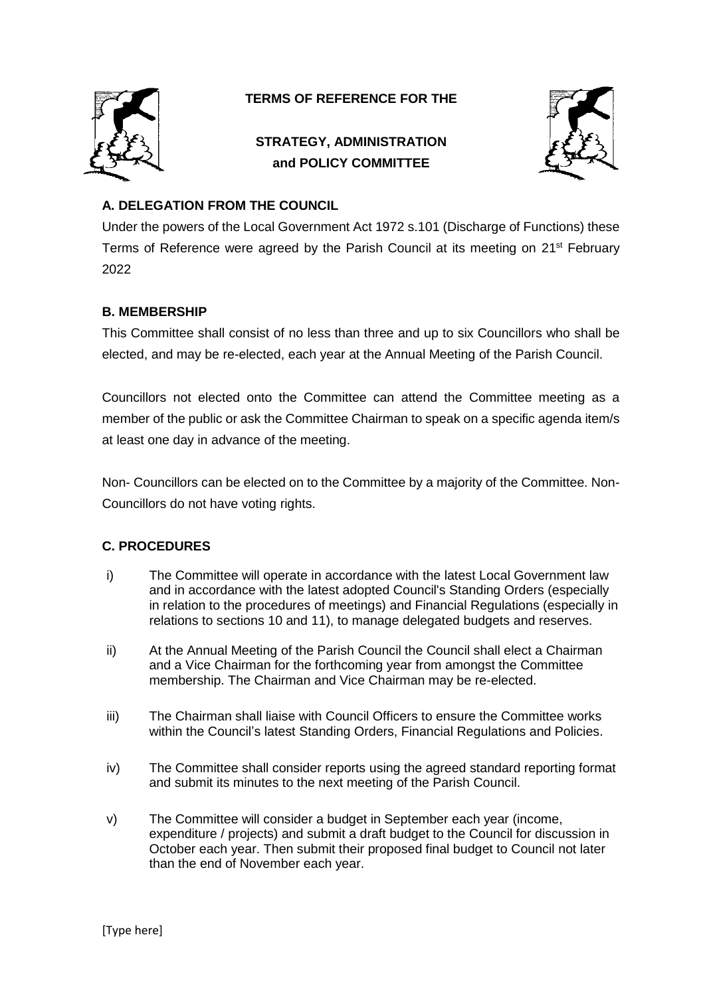

## **TERMS OF REFERENCE FOR THE**

# **STRATEGY, ADMINISTRATION and POLICY COMMITTEE**



### **A. DELEGATION FROM THE COUNCIL**

Under the powers of the Local Government Act 1972 s.101 (Discharge of Functions) these Terms of Reference were agreed by the Parish Council at its meeting on 21<sup>st</sup> February 2022

#### **B. MEMBERSHIP**

This Committee shall consist of no less than three and up to six Councillors who shall be elected, and may be re-elected, each year at the Annual Meeting of the Parish Council.

Councillors not elected onto the Committee can attend the Committee meeting as a member of the public or ask the Committee Chairman to speak on a specific agenda item/s at least one day in advance of the meeting.

Non- Councillors can be elected on to the Committee by a majority of the Committee. Non-Councillors do not have voting rights.

#### **C. PROCEDURES**

- i) The Committee will operate in accordance with the latest Local Government law and in accordance with the latest adopted Council's Standing Orders (especially in relation to the procedures of meetings) and Financial Regulations (especially in relations to sections 10 and 11), to manage delegated budgets and reserves.
- ii) At the Annual Meeting of the Parish Council the Council shall elect a Chairman and a Vice Chairman for the forthcoming year from amongst the Committee membership. The Chairman and Vice Chairman may be re-elected.
- iii) The Chairman shall liaise with Council Officers to ensure the Committee works within the Council's latest Standing Orders, Financial Regulations and Policies.
- iv) The Committee shall consider reports using the agreed standard reporting format and submit its minutes to the next meeting of the Parish Council.
- v) The Committee will consider a budget in September each year (income, expenditure / projects) and submit a draft budget to the Council for discussion in October each year. Then submit their proposed final budget to Council not later than the end of November each year.